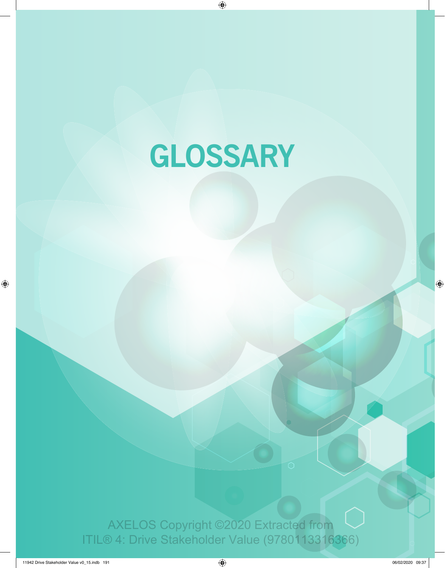# **GLOSSARY**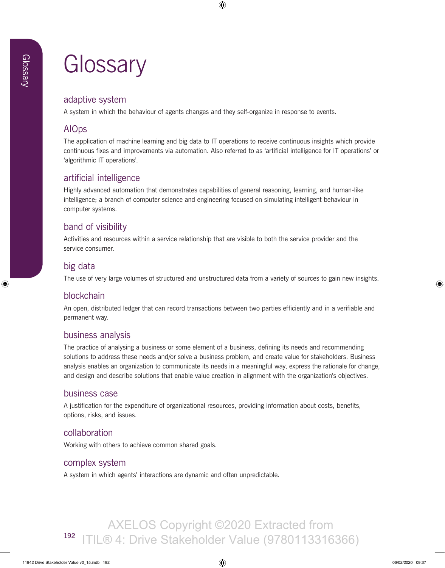## adaptive system

A system in which the behaviour of agents changes and they self-organize in response to events.

## AIOps

The application of machine learning and big data to IT operations to receive continuous insights which provide continuous fixes and improvements via automation. Also referred to as 'artificial intelligence for IT operations' or 'algorithmic IT operations'.

## artificial intelligence

Highly advanced automation that demonstrates capabilities of general reasoning, learning, and human-like intelligence; a branch of computer science and engineering focused on simulating intelligent behaviour in computer systems.

## band of visibility

Activities and resources within a service relationship that are visible to both the service provider and the service consumer.

## big data

The use of very large volumes of structured and unstructured data from a variety of sources to gain new insights.

## blockchain

An open, distributed ledger that can record transactions between two parties efficiently and in a verifiable and permanent way.

## business analysis

The practice of analysing a business or some element of a business, defining its needs and recommending solutions to address these needs and/or solve a business problem, and create value for stakeholders. Business analysis enables an organization to communicate its needs in a meaningful way, express the rationale for change, and design and describe solutions that enable value creation in alignment with the organization's objectives.

#### business case

A justification for the expenditure of organizational resources, providing information about costs, benefits, options, risks, and issues.

#### collaboration

Working with others to achieve common shared goals.

#### complex system

A system in which agents' interactions are dynamic and often unpredictable.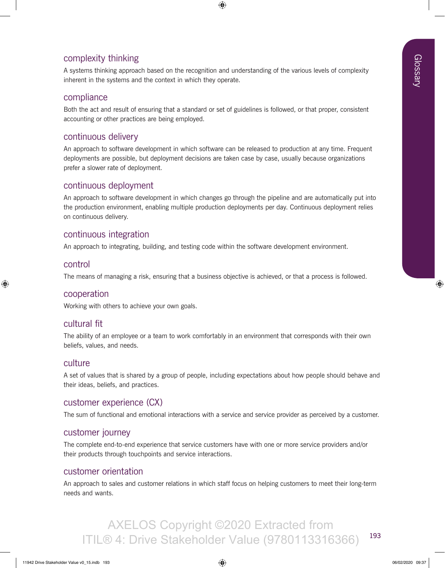## complexity thinking

A systems thinking approach based on the recognition and understanding of the various levels of complexity inherent in the systems and the context in which they operate.

#### compliance

Both the act and result of ensuring that a standard or set of guidelines is followed, or that proper, consistent accounting or other practices are being employed.

#### continuous delivery

An approach to software development in which software can be released to production at any time. Frequent deployments are possible, but deployment decisions are taken case by case, usually because organizations prefer a slower rate of deployment.

#### continuous deployment

An approach to software development in which changes go through the pipeline and are automatically put into the production environment, enabling multiple production deployments per day. Continuous deployment relies on continuous delivery.

#### continuous integration

An approach to integrating, building, and testing code within the software development environment.

#### control

The means of managing a risk, ensuring that a business objective is achieved, or that a process is followed.

#### cooperation

Working with others to achieve your own goals.

#### cultural fit

The ability of an employee or a team to work comfortably in an environment that corresponds with their own beliefs, values, and needs.

#### culture

A set of values that is shared by a group of people, including expectations about how people should behave and their ideas, beliefs, and practices.

#### customer experience (CX)

The sum of functional and emotional interactions with a service and service provider as perceived by a customer.

#### customer journey

The complete end-to-end experience that service customers have with one or more service providers and/or their products through touchpoints and service interactions.

#### customer orientation

An approach to sales and customer relations in which staff focus on helping customers to meet their long-term needs and wants.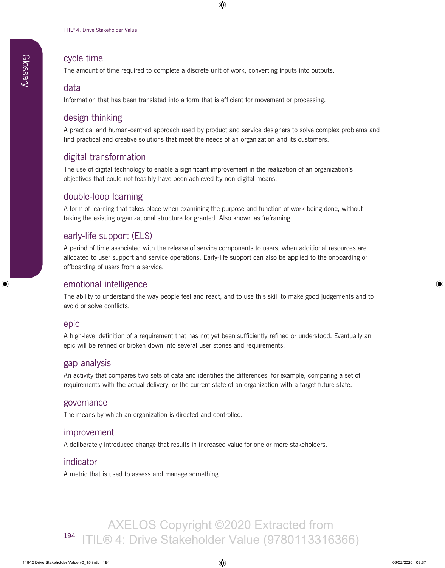#### cycle time

The amount of time required to complete a discrete unit of work, converting inputs into outputs.

#### data

Information that has been translated into a form that is efficient for movement or processing.

#### design thinking

A practical and human-centred approach used by product and service designers to solve complex problems and find practical and creative solutions that meet the needs of an organization and its customers.

## digital transformation

The use of digital technology to enable a significant improvement in the realization of an organization's objectives that could not feasibly have been achieved by non-digital means.

#### double-loop learning

A form of learning that takes place when examining the purpose and function of work being done, without taking the existing organizational structure for granted. Also known as 'reframing'.

## early-life support (ELS)

A period of time associated with the release of service components to users, when additional resources are allocated to user support and service operations. Early-life support can also be applied to the onboarding or offboarding of users from a service.

#### emotional intelligence

The ability to understand the way people feel and react, and to use this skill to make good judgements and to avoid or solve conflicts.

#### epic

A high-level definition of a requirement that has not yet been sufficiently refined or understood. Eventually an epic will be refined or broken down into several user stories and requirements.

#### gap analysis

An activity that compares two sets of data and identifies the differences; for example, comparing a set of requirements with the actual delivery, or the current state of an organization with a target future state.

#### governance

The means by which an organization is directed and controlled.

#### improvement

A deliberately introduced change that results in increased value for one or more stakeholders.

#### indicator

A metric that is used to assess and manage something.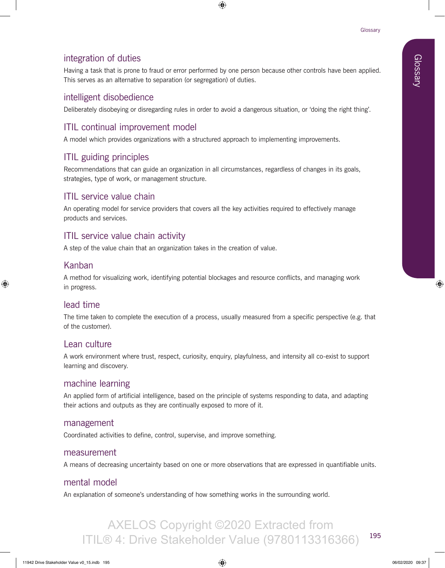## integration of duties

Having a task that is prone to fraud or error performed by one person because other controls have been applied. This serves as an alternative to separation (or segregation) of duties.

## intelligent disobedience

Deliberately disobeying or disregarding rules in order to avoid a dangerous situation, or 'doing the right thing'.

## ITIL continual improvement model

A model which provides organizations with a structured approach to implementing improvements.

## ITIL guiding principles

Recommendations that can guide an organization in all circumstances, regardless of changes in its goals, strategies, type of work, or management structure.

## ITIL service value chain

An operating model for service providers that covers all the key activities required to effectively manage products and services.

## ITIL service value chain activity

A step of the value chain that an organization takes in the creation of value.

## Kanban

A method for visualizing work, identifying potential blockages and resource conflicts, and managing work in progress.

## lead time

The time taken to complete the execution of a process, usually measured from a specific perspective (e.g. that of the customer).

## Lean culture

A work environment where trust, respect, curiosity, enquiry, playfulness, and intensity all co-exist to support learning and discovery.

#### machine learning

An applied form of artificial intelligence, based on the principle of systems responding to data, and adapting their actions and outputs as they are continually exposed to more of it.

#### management

Coordinated activities to define, control, supervise, and improve something.

#### measurement

A means of decreasing uncertainty based on one or more observations that are expressed in quantifiable units.

## mental model

An explanation of someone's understanding of how something works in the surrounding world.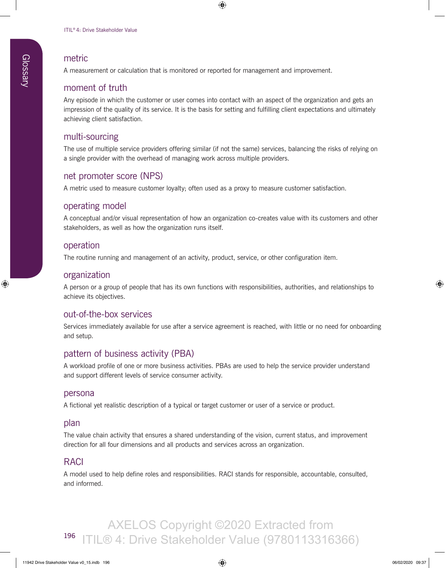#### metric

A measurement or calculation that is monitored or reported for management and improvement.

#### moment of truth

Any episode in which the customer or user comes into contact with an aspect of the organization and gets an impression of the quality of its service. It is the basis for setting and fulfilling client expectations and ultimately achieving client satisfaction.

#### multi-sourcing

The use of multiple service providers offering similar (if not the same) services, balancing the risks of relying on a single provider with the overhead of managing work across multiple providers.

#### net promoter score (NPS)

A metric used to measure customer loyalty; often used as a proxy to measure customer satisfaction.

#### operating model

A conceptual and/or visual representation of how an organization co-creates value with its customers and other stakeholders, as well as how the organization runs itself.

#### operation

The routine running and management of an activity, product, service, or other configuration item.

#### organization

A person or a group of people that has its own functions with responsibilities, authorities, and relationships to achieve its objectives.

#### out-of-the-box services

Services immediately available for use after a service agreement is reached, with little or no need for onboarding and setup.

#### pattern of business activity (PBA)

A workload profile of one or more business activities. PBAs are used to help the service provider understand and support different levels of service consumer activity.

#### persona

A fictional yet realistic description of a typical or target customer or user of a service or product.

#### plan

The value chain activity that ensures a shared understanding of the vision, current status, and improvement direction for all four dimensions and all products and services across an organization.

#### RACI

A model used to help define roles and responsibilities. RACI stands for responsible, accountable, consulted, and informed.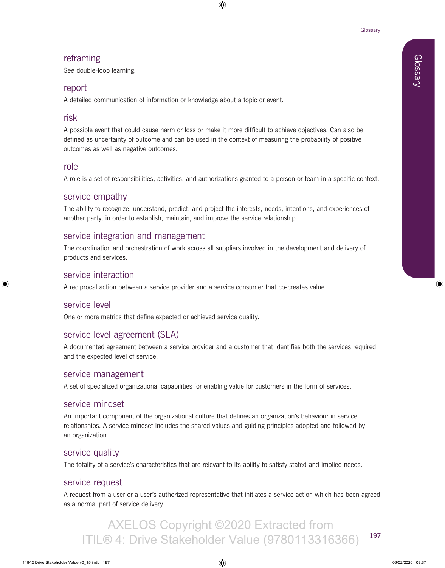## reframing

*See* double-loop learning.

## report

A detailed communication of information or knowledge about a topic or event.

## risk

A possible event that could cause harm or loss or make it more difficult to achieve objectives. Can also be defined as uncertainty of outcome and can be used in the context of measuring the probability of positive outcomes as well as negative outcomes.

#### role

A role is a set of responsibilities, activities, and authorizations granted to a person or team in a specific context.

## service empathy

The ability to recognize, understand, predict, and project the interests, needs, intentions, and experiences of another party, in order to establish, maintain, and improve the service relationship.

## service integration and management

The coordination and orchestration of work across all suppliers involved in the development and delivery of products and services.

#### service interaction

A reciprocal action between a service provider and a service consumer that co-creates value.

## service level

One or more metrics that define expected or achieved service quality.

## service level agreement (SLA)

A documented agreement between a service provider and a customer that identifies both the services required and the expected level of service.

#### service management

A set of specialized organizational capabilities for enabling value for customers in the form of services.

#### service mindset

An important component of the organizational culture that defines an organization's behaviour in service relationships. A service mindset includes the shared values and guiding principles adopted and followed by an organization.

## service quality

The totality of a service's characteristics that are relevant to its ability to satisfy stated and implied needs.

## service request

A request from a user or a user's authorized representative that initiates a service action which has been agreed as a normal part of service delivery.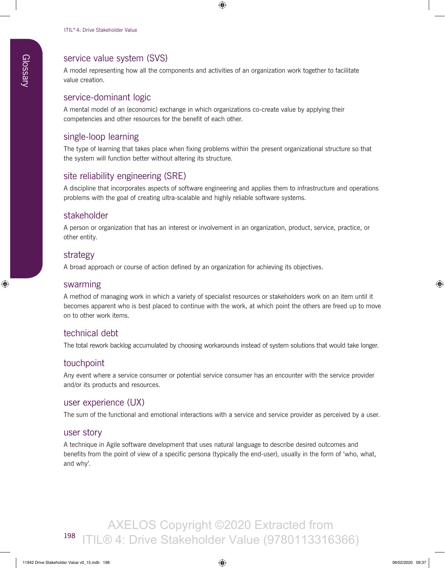## service value system (SVS)

A model representing how all the components and activities of an organization work together to facilitate value creation.

#### service-dominant logic

A mental model of an (economic) exchange in which organizations co-create value by applying their competencies and other resources for the benefit of each other.

#### single-loop learning

The type of learning that takes place when fixing problems within the present organizational structure so that the system will function better without altering its structure.

#### site reliability engineering (SRE)

A discipline that incorporates aspects of software engineering and applies them to infrastructure and operations problems with the goal of creating ultra-scalable and highly reliable software systems.

#### stakeholder

A person or organization that has an interest or involvement in an organization, product, service, practice, or other entity.

#### strategy

A broad approach or course of action defined by an organization for achieving its objectives.

#### swarming

A method of managing work in which a variety of specialist resources or stakeholders work on an item until it becomes apparent who is best placed to continue with the work, at which point the others are freed up to move on to other work items.

#### technical debt

The total rework backlog accumulated by choosing workarounds instead of system solutions that would take longer.

#### touchpoint

Any event where a service consumer or potential service consumer has an encounter with the service provider and/or its products and resources.

#### user experience (UX)

The sum of the functional and emotional interactions with a service and service provider as perceived by a user.

#### user story

A technique in Agile software development that uses natural language to describe desired outcomes and benefits from the point of view of a specific persona (typically the end-user), usually in the form of 'who, what, and why'.